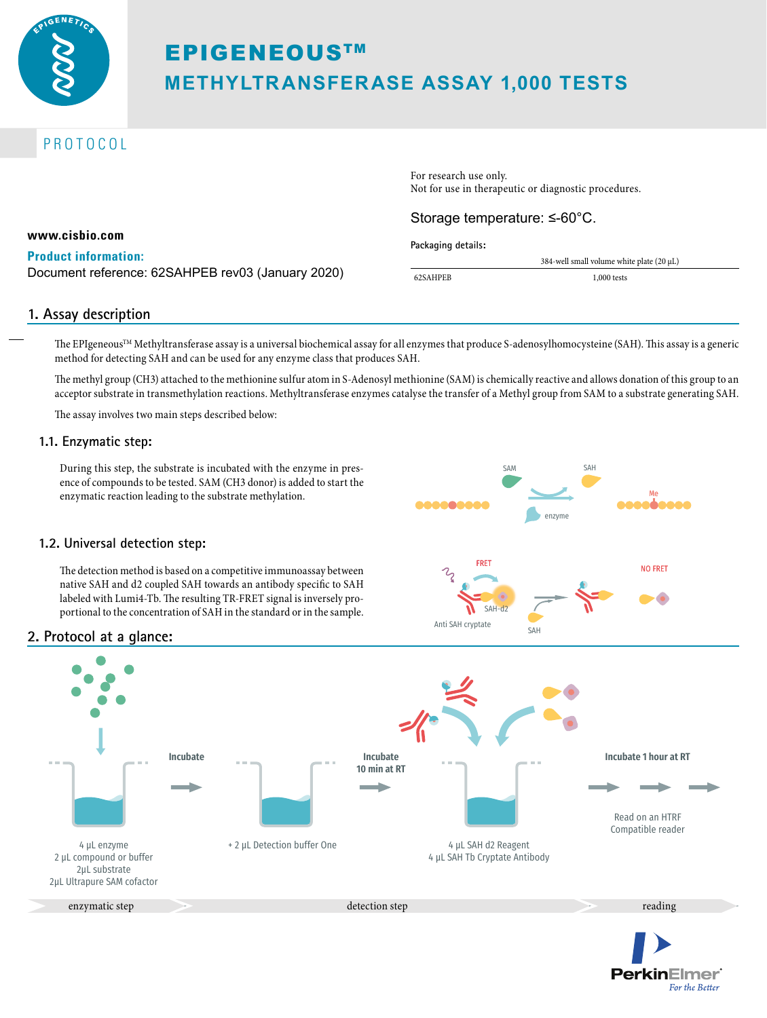

# EPIGENEOUSTM **METHYLTRANSFERASE ASSAY 1,000 TESTS**

# PROTOCOL

For research use only. Not for use in therapeutic or diagnostic procedures.

## Storage temperature: ≤-60°C.

**Packaging details:**

|    | 384-well small volume white plate $(20 \mu L)$ |  |
|----|------------------------------------------------|--|
| ΈB | $1,000$ tests                                  |  |

#### **www.cisbio.com**

#### **Product information:**

Document reference: 62SAHPEB rev03 (January 2020)  $\frac{1}{62SAHI}$ 

#### **1. Assay description**

The EPIgeneous™ Methyltransferase assay is a universal biochemical assay for all enzymes that produce S-adenosylhomocysteine (SAH). This assay is a generic method for detecting SAH and can be used for any enzyme class that produces SAH.

The methyl group (CH3) attached to the methionine sulfur atom in S-Adenosyl methionine (SAM) is chemically reactive and allows donation of this group to an acceptor substrate in transmethylation reactions. Methyltransferase enzymes catalyse the transfer of a Methyl group from SAM to a substrate generating SAH.

The assay involves two main steps described below:

#### **1.1. Enzymatic step:**

During this step, the substrate is incubated with the enzyme in presence of compounds to be tested. SAM (CH3 donor) is added to start the enzymatic reaction leading to the substrate methylation.



**PerkinElmer** 

For the Better

#### **1.2. Universal detection step:**

The detection method is based on a competitive immunoassay between native SAH and d2 coupled SAH towards an antibody specific to SAH labeled with Lumi4-Tb. The resulting TR-FRET signal is inversely proportional to the concentration of SAH in the standard or in the sample.

# **2. Protocol at a glance:**

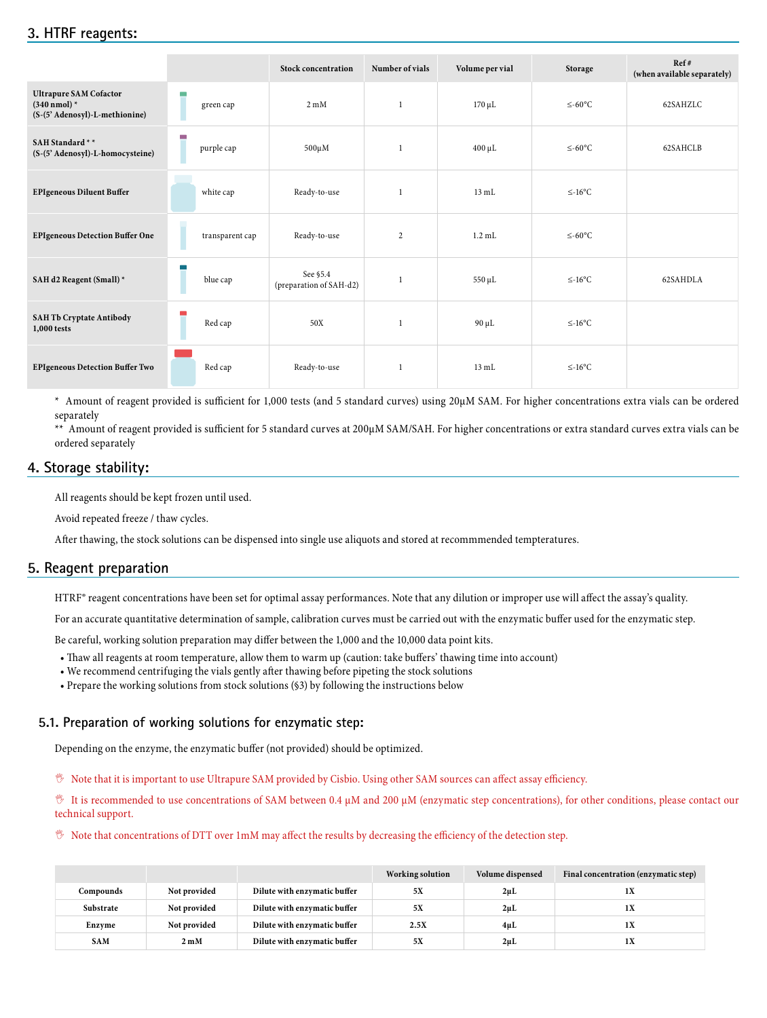|                                                                                           |                              | <b>Stock concentration</b>          | Number of vials | Volume per vial | Storage      | Ref#<br>(when available separately) |
|-------------------------------------------------------------------------------------------|------------------------------|-------------------------------------|-----------------|-----------------|--------------|-------------------------------------|
| <b>Ultrapure SAM Cofactor</b><br>$(340 \text{ nmol})$ *<br>(S-(5' Adenosyl)-L-methionine) | <b>Contract</b><br>green cap | $2 \text{ mM}$                      | 1               | $170 \mu L$     | $\leq$ -60°C | 62SAHZLC                            |
| SAH Standard **<br>(S-(5' Adenosyl)-L-homocysteine)                                       | L.<br>purple cap             | $500 \mu M$                         | $\mathbf{1}$    | $400 \mu L$     | $\leq$ -60°C | 62SAHCLB                            |
| <b>EPIgeneous Diluent Buffer</b>                                                          | white cap                    | Ready-to-use                        | $\mathbf{1}$    | $13 \text{ mL}$ | $\leq$ -16°C |                                     |
| <b>EPIgeneous Detection Buffer One</b>                                                    | transparent cap<br>ш         | Ready-to-use                        | 2               | $1.2$ mL        | $≤-60°C$     |                                     |
| SAH d2 Reagent (Small) *                                                                  | blue cap                     | See §5.4<br>(preparation of SAH-d2) | $\mathbf{1}$    | 550 µL          | $\leq$ -16°C | 62SAHDLA                            |
| <b>SAH Tb Cryptate Antibody</b><br>1,000 tests                                            | Red cap                      | 50X                                 | 1               | $90 \mu L$      | $\leq$ -16°C |                                     |
| <b>EPIgeneous Detection Buffer Two</b>                                                    | Red cap                      | Ready-to-use                        | 1               | $13 \text{ mL}$ | $\leq$ -16°C |                                     |

\* Amount of reagent provided is sufficient for 1,000 tests (and 5 standard curves) using 20µM SAM. For higher concentrations extra vials can be ordered separately

\*\* Amount of reagent provided is sufficient for 5 standard curves at 200µM SAM/SAH. For higher concentrations or extra standard curves extra vials can be ordered separately

## **4. Storage stability:**

All reagents should be kept frozen until used.

Avoid repeated freeze / thaw cycles.

After thawing, the stock solutions can be dispensed into single use aliquots and stored at recommmended tempteratures.

#### **5. Reagent preparation**

HTRF® reagent concentrations have been set for optimal assay performances. Note that any dilution or improper use will affect the assay's quality.

For an accurate quantitative determination of sample, calibration curves must be carried out with the enzymatic buffer used for the enzymatic step.

Be careful, working solution preparation may differ between the 1,000 and the 10,000 data point kits.

- Thaw all reagents at room temperature, allow them to warm up (caution: take buffers' thawing time into account)
- We recommend centrifuging the vials gently after thawing before pipeting the stock solutions
- Prepare the working solutions from stock solutions (§3) by following the instructions below

#### **5.1. Preparation of working solutions for enzymatic step:**

Depending on the enzyme, the enzymatic buffer (not provided) should be optimized.

, Note that it is important to use Ultrapure SAM provided by Cisbio. Using other SAM sources can affect assay efficiency.

, It is recommended to use concentrations of SAM between 0.4 μM and 200 μM (enzymatic step concentrations), for other conditions, please contact our technical support.

 $\%$  Note that concentrations of DTT over 1mM may affect the results by decreasing the efficiency of the detection step.

|            |                |                              | Working solution | Volume dispensed | Final concentration (enzymatic step) |
|------------|----------------|------------------------------|------------------|------------------|--------------------------------------|
| Compounds  | Not provided   | Dilute with enzymatic buffer | 5X               | $2\mu L$         | 1X                                   |
| Substrate  | Not provided   | Dilute with enzymatic buffer | 5X               | $2\muL$          | 1X                                   |
| Enzyme     | Not provided   | Dilute with enzymatic buffer | 2.5X             | $4\mu L$         | 1X                                   |
| <b>SAM</b> | $2 \text{ mM}$ | Dilute with enzymatic buffer | 5X               | 2 <sub>µ</sub> L | 1X                                   |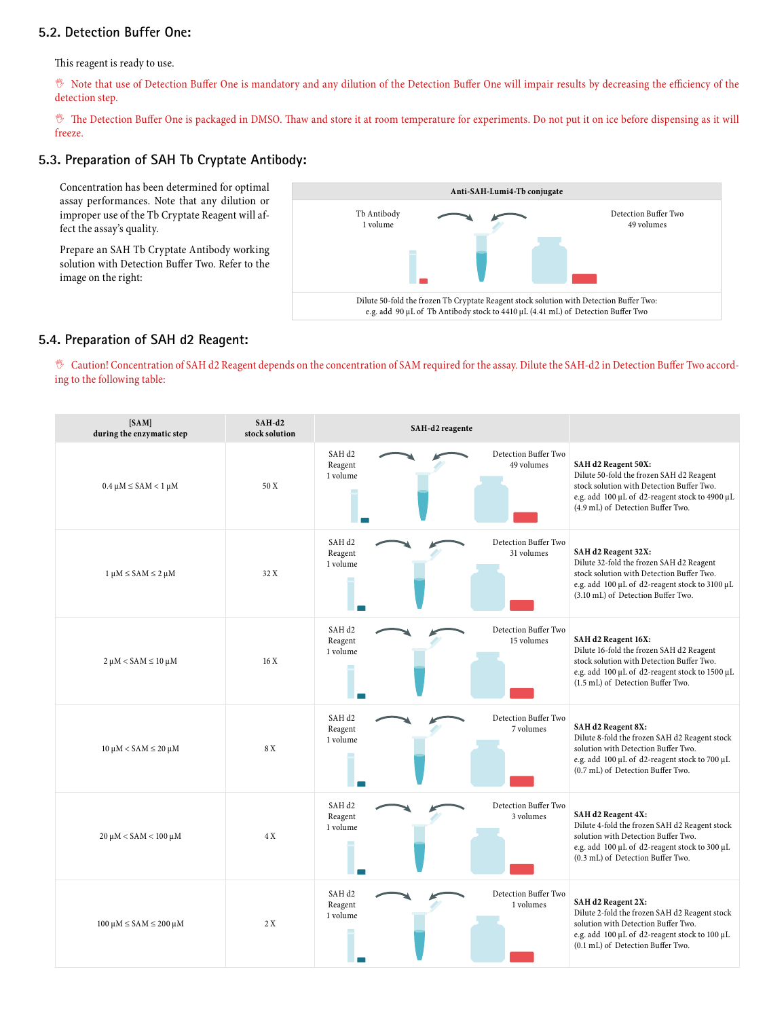## **5.2. Detection Buffer One:**

This reagent is ready to use.

, Note that use of Detection Buffer One is mandatory and any dilution of the Detection Buffer One will impair results by decreasing the efficiency of the detection step.

 $\%$  The Detection Buffer One is packaged in DMSO. Thaw and store it at room temperature for experiments. Do not put it on ice before dispensing as it will freeze.

#### **5.3. Preparation of SAH Tb Cryptate Antibody:**

Concentration has been determined for optimal assay performances. Note that any dilution or improper use of the Tb Cryptate Reagent will affect the assay's quality.

Prepare an SAH Tb Cryptate Antibody working solution with Detection Buffer Two. Refer to the image on the right:



#### **5.4. Preparation of SAH d2 Reagent:**

, Caution! Concentration of SAH d2 Reagent depends on the concentration of SAM required for the assay. Dilute the SAH-d2 in Detection Buffer Two according to the following table:

| [SAM]<br>during the enzymatic step    | SAH-d2<br>stock solution | SAH-d2 reagente                                                                |                                                                                                                                                                                                      |
|---------------------------------------|--------------------------|--------------------------------------------------------------------------------|------------------------------------------------------------------------------------------------------------------------------------------------------------------------------------------------------|
| $0.4 \mu M \leq$ SAM < 1 $\mu$ M      | 50 X                     | Detection Buffer Two<br>SAH <sub>d2</sub><br>49 volumes<br>Reagent<br>1 volume | SAH d2 Reagent 50X:<br>Dilute 50-fold the frozen SAH d2 Reagent<br>stock solution with Detection Buffer Two.<br>e.g. add 100 µL of d2-reagent stock to 4900 µL<br>(4.9 mL) of Detection Buffer Two.  |
| $1 \mu M \leq$ SAM $\leq$ 2 $\mu$ M   | 32 X                     | Detection Buffer Two<br>SAH <sub>d2</sub><br>31 volumes<br>Reagent<br>1 volume | SAH d2 Reagent 32X:<br>Dilute 32-fold the frozen SAH d2 Reagent<br>stock solution with Detection Buffer Two.<br>e.g. add 100 µL of d2-reagent stock to 3100 µL<br>(3.10 mL) of Detection Buffer Two. |
| $2 \mu M <$ SAM $\leq 10 \mu M$       | 16 X                     | Detection Buffer Two<br>SAH <sub>d2</sub><br>15 volumes<br>Reagent<br>1 volume | SAH d2 Reagent 16X:<br>Dilute 16-fold the frozen SAH d2 Reagent<br>stock solution with Detection Buffer Two.<br>e.g. add 100 µL of d2-reagent stock to 1500 µL<br>(1.5 mL) of Detection Buffer Two.  |
| $10 \mu M <$ SAM $\leq 20 \mu M$      | 8 X                      | Detection Buffer Two<br>SAH <sub>d2</sub><br>Reagent<br>7 volumes<br>1 volume  | SAH d2 Reagent 8X:<br>Dilute 8-fold the frozen SAH d2 Reagent stock<br>solution with Detection Buffer Two.<br>e.g. add 100 µL of d2-reagent stock to 700 µL<br>(0.7 mL) of Detection Buffer Two.     |
| $20 \mu M <$ SAM $< 100 \mu M$        | 4 X                      | Detection Buffer Two<br>SAH d2<br>Reagent<br>3 volumes<br>1 volume             | SAH d2 Reagent 4X:<br>Dilute 4-fold the frozen SAH d2 Reagent stock<br>solution with Detection Buffer Two.<br>e.g. add 100 µL of d2-reagent stock to 300 µL<br>(0.3 mL) of Detection Buffer Two.     |
| $100 \mu M \leq$ SAM $\leq 200 \mu M$ | 2 X                      | Detection Buffer Two<br>SAH <sub>d2</sub><br>Reagent<br>1 volumes<br>1 volume  | SAH d2 Reagent 2X:<br>Dilute 2-fold the frozen SAH d2 Reagent stock<br>solution with Detection Buffer Two.<br>e.g. add 100 µL of d2-reagent stock to 100 µL<br>(0.1 mL) of Detection Buffer Two.     |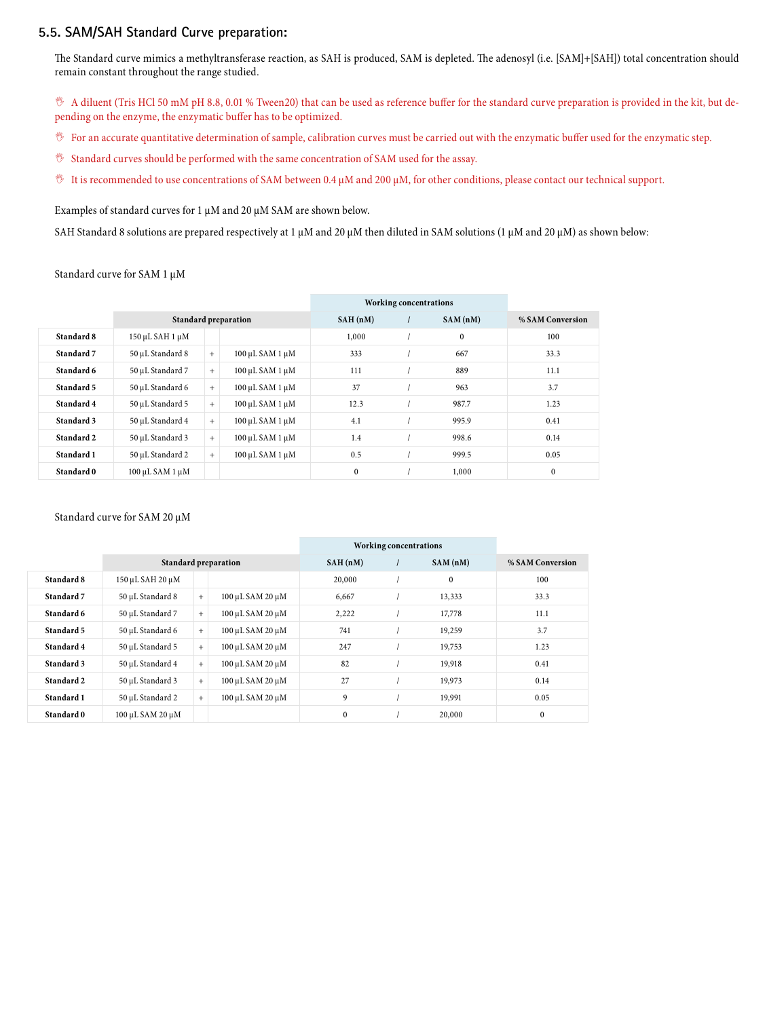#### **5.5. SAM/SAH Standard Curve preparation:**

The Standard curve mimics a methyltransferase reaction, as SAH is produced, SAM is depleted. The adenosyl (i.e. [SAM]+[SAH]) total concentration should remain constant throughout the range studied.

, A diluent (Tris HCl 50 mM pH 8.8, 0.01 % Tween20) that can be used as reference buffer for the standard curve preparation is provided in the kit, but depending on the enzyme, the enzymatic buffer has to be optimized.

- $\%$  For an accurate quantitative determination of sample, calibration curves must be carried out with the enzymatic buffer used for the enzymatic step.
- $%$  Standard curves should be performed with the same concentration of SAM used for the assay.
- $\%$  It is recommended to use concentrations of SAM between 0.4 µM and 200 µM, for other conditions, please contact our technical support.

Examples of standard curves for 1  $\mu$ M and 20  $\mu$ M SAM are shown below.

SAH Standard 8 solutions are prepared respectively at 1 µM and 20 µM then diluted in SAM solutions (1 µM and 20 µM) as shown below:

Standard curve for SAM 1 µM

|            |                           |     |                             |              | <b>Working concentrations</b> |              |                  |
|------------|---------------------------|-----|-----------------------------|--------------|-------------------------------|--------------|------------------|
|            |                           |     | <b>Standard preparation</b> | SAH(nM)      |                               | SAM(nM)      | % SAM Conversion |
| Standard 8 | $150 \mu L$ SAH $1 \mu M$ |     |                             | 1,000        |                               | $\mathbf{0}$ | 100              |
| Standard 7 | 50 µL Standard 8          | $+$ | 100 μL SAM 1 μM             | 333          |                               | 667          | 33.3             |
| Standard 6 | 50 µL Standard 7          | $+$ | $100 \mu L$ SAM $1 \mu M$   | 111          |                               | 889          | 11.1             |
| Standard 5 | 50 µL Standard 6          | $+$ | 100 μL SAM 1 μM             | 37           |                               | 963          | 3.7              |
| Standard 4 | 50 µL Standard 5          | $+$ | 100 μL SAM 1 μM             | 12.3         |                               | 987.7        | 1.23             |
| Standard 3 | 50 µL Standard 4          | $+$ | 100 μL SAM 1 μM             | 4.1          |                               | 995.9        | 0.41             |
| Standard 2 | 50 µL Standard 3          | $+$ | 100 μL SAM 1 μM             | 1.4          |                               | 998.6        | 0.14             |
| Standard 1 | 50 µL Standard 2          | $+$ | 100 μL SAM 1 μM             | 0.5          |                               | 999.5        | 0.05             |
| Standard 0 | 100 μL SAM 1 μM           |     |                             | $\mathbf{0}$ |                               | 1,000        | $\mathbf{0}$     |

#### Standard curve for SAM 20 µM

|            |                  |        |                             |              | Working concentrations |              |                  |
|------------|------------------|--------|-----------------------------|--------------|------------------------|--------------|------------------|
|            |                  |        | <b>Standard preparation</b> | SAH(nM)      |                        | SAM(nM)      | % SAM Conversion |
| Standard 8 | 150 μL SAH 20 μM |        |                             | 20,000       |                        | $\mathbf{0}$ | 100              |
| Standard 7 | 50 µL Standard 8 | $+$    | 100 μL SAM 20 μM            | 6,667        |                        | 13,333       | 33.3             |
| Standard 6 | 50 µL Standard 7 | $+$    | 100 μL SAM 20 μM            | 2,222        |                        | 17,778       | 11.1             |
| Standard 5 | 50 µL Standard 6 | $^{+}$ | 100 μL SAM 20 μM            | 741          |                        | 19,259       | 3.7              |
| Standard 4 | 50 µL Standard 5 | $+$    | 100 μL SAM 20 μM            | 247          |                        | 19,753       | 1.23             |
| Standard 3 | 50 µL Standard 4 | $+$    | 100 μL SAM 20 μM            | 82           |                        | 19,918       | 0.41             |
| Standard 2 | 50 µL Standard 3 | $^{+}$ | 100 μL SAM 20 μM            | 27           |                        | 19,973       | 0.14             |
| Standard 1 | 50 µL Standard 2 | $+$    | 100 μL SAM 20 μM            | 9            |                        | 19,991       | 0.05             |
| Standard 0 | 100 μL SAM 20 μM |        |                             | $\mathbf{0}$ |                        | 20,000       | $\mathbf{0}$     |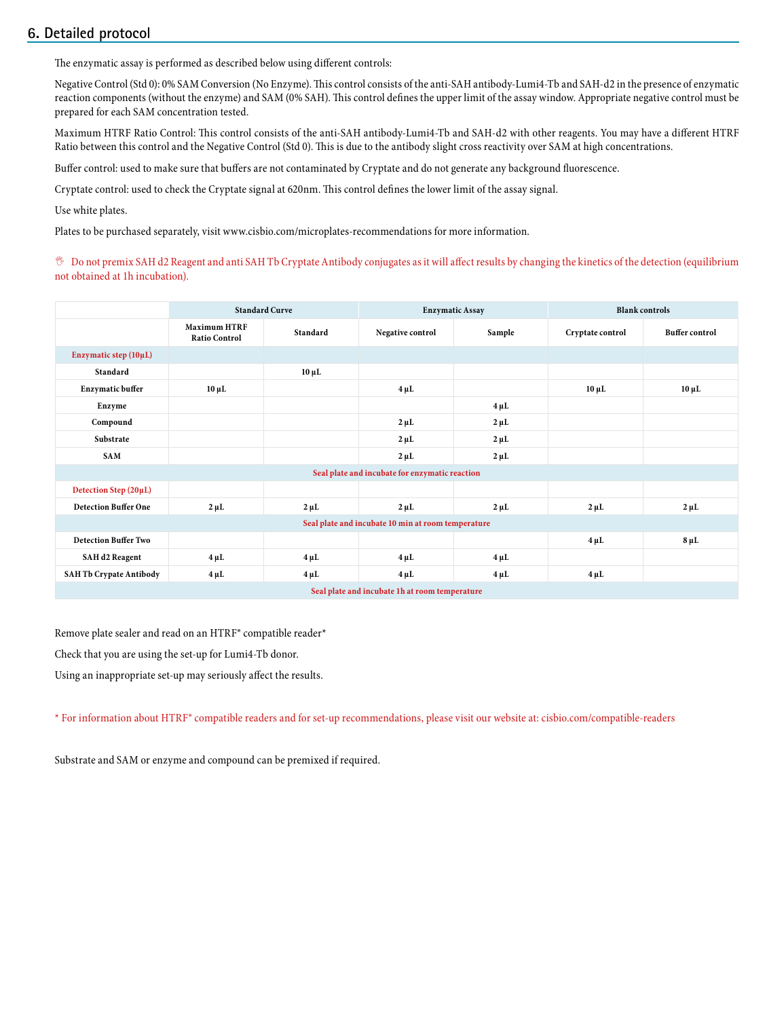## **6. Detailed protocol**

The enzymatic assay is performed as described below using different controls:

Negative Control (Std 0): 0% SAM Conversion (No Enzyme). This control consists of the anti-SAH antibody-Lumi4-Tb and SAH-d2 in the presence of enzymatic reaction components (without the enzyme) and SAM (0% SAH). This control defines the upper limit of the assay window. Appropriate negative control must be prepared for each SAM concentration tested.

Maximum HTRF Ratio Control: This control consists of the anti-SAH antibody-Lumi4-Tb and SAH-d2 with other reagents. You may have a different HTRF Ratio between this control and the Negative Control (Std 0). This is due to the antibody slight cross reactivity over SAM at high concentrations.

Buffer control: used to make sure that buffers are not contaminated by Cryptate and do not generate any background fluorescence.

Cryptate control: used to check the Cryptate signal at 620nm. This control defines the lower limit of the assay signal.

Use white plates.

Plates to be purchased separately, visit www.cisbio.com/microplates-recommendations for more information.

, Do not premix SAH d2 Reagent and anti SAH Tb Cryptate Antibody conjugates as it will affect results by changing the kinetics of the detection (equilibrium not obtained at 1h incubation).

|                                                    | <b>Standard Curve</b>                       |            |                                                | <b>Enzymatic Assay</b> | <b>Blank controls</b> |                       |  |
|----------------------------------------------------|---------------------------------------------|------------|------------------------------------------------|------------------------|-----------------------|-----------------------|--|
|                                                    | <b>Maximum HTRF</b><br><b>Ratio Control</b> | Standard   | Negative control                               | Sample                 | Cryptate control      | <b>Buffer control</b> |  |
| Enzymatic step (10µL)                              |                                             |            |                                                |                        |                       |                       |  |
| Standard                                           |                                             | $10 \mu L$ |                                                |                        |                       |                       |  |
| <b>Enzymatic buffer</b>                            | $10 \mu L$                                  |            | $4 \mu L$                                      |                        | $10 \mu L$            | $10 \mu L$            |  |
| Enzyme                                             |                                             |            |                                                | $4 \mu L$              |                       |                       |  |
| Compound                                           |                                             |            | $2 \mu L$                                      | $2 \mu L$              |                       |                       |  |
| Substrate                                          |                                             |            | $2 \mu L$                                      | $2 \mu L$              |                       |                       |  |
| SAM                                                |                                             |            | $2 \mu L$                                      | $2 \mu L$              |                       |                       |  |
|                                                    |                                             |            | Seal plate and incubate for enzymatic reaction |                        |                       |                       |  |
| Detection Step (20µL)                              |                                             |            |                                                |                        |                       |                       |  |
| <b>Detection Buffer One</b>                        | $2 \mu L$                                   | $2 \mu L$  | $2 \mu L$                                      | $2 \mu L$              | $2 \mu L$             | $2 \mu L$             |  |
| Seal plate and incubate 10 min at room temperature |                                             |            |                                                |                        |                       |                       |  |
| <b>Detection Buffer Two</b>                        |                                             |            |                                                |                        | $4 \mu L$             | $8 \mu L$             |  |
| <b>SAH d2 Reagent</b>                              | $4 \mu L$                                   | $4 \mu L$  | $4 \mu L$                                      | $4 \mu L$              |                       |                       |  |
| <b>SAH Tb Crypate Antibody</b>                     | $4 \mu L$                                   | $4 \mu L$  | $4 \mu L$                                      | $4 \mu L$              | $4 \mu L$             |                       |  |
| Seal plate and incubate 1h at room temperature     |                                             |            |                                                |                        |                       |                       |  |

Remove plate sealer and read on an HTRF® compatible reader\*

Check that you are using the set-up for Lumi4-Tb donor.

Using an inappropriate set-up may seriously affect the results.

\* For information about HTRF® compatible readers and for set-up recommendations, please visit our website at: cisbio.com/compatible-readers

Substrate and SAM or enzyme and compound can be premixed if required.